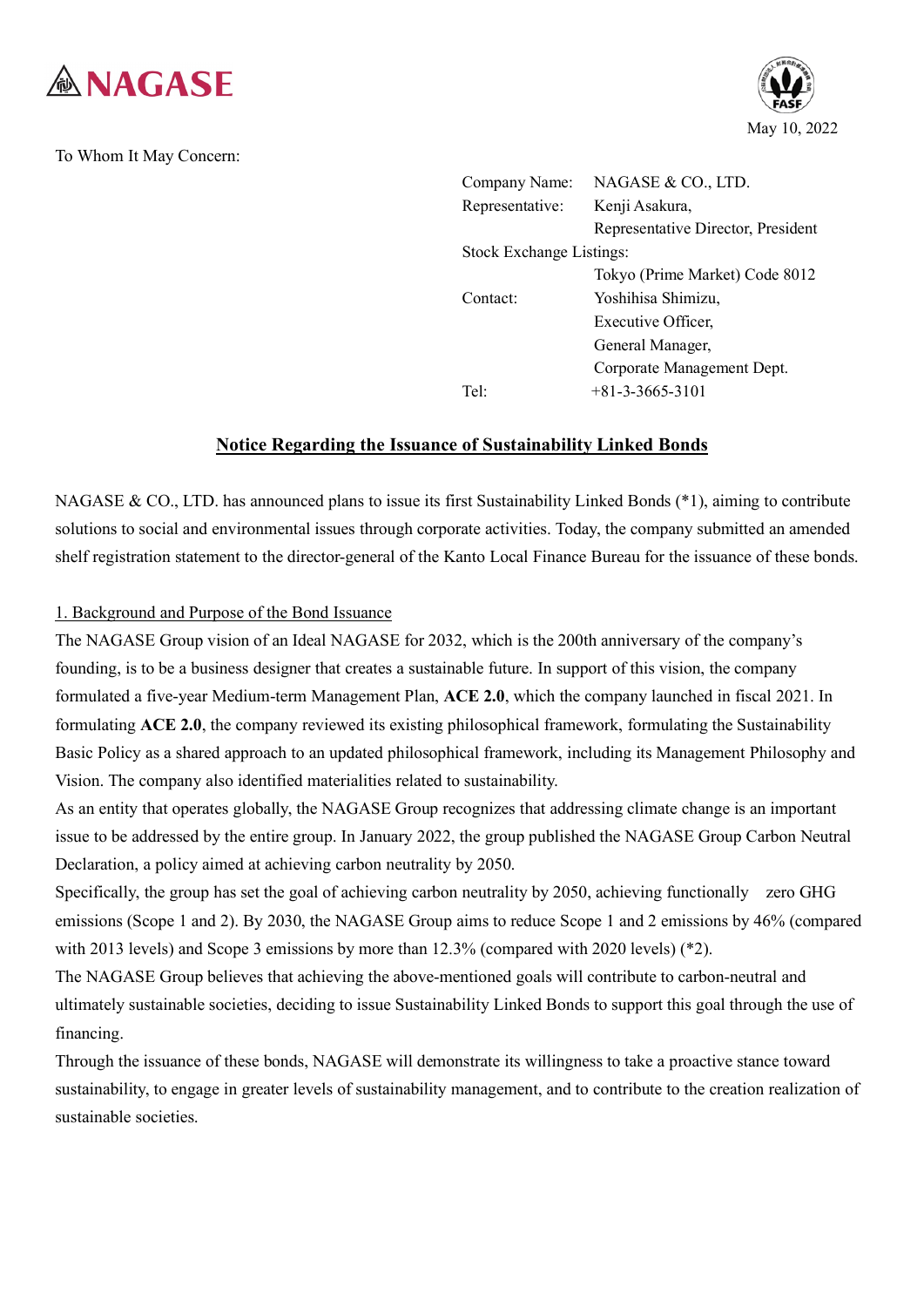

To Whom It May Concern:



| Company Name:                   | NAGASE & CO., LTD.                 |  |
|---------------------------------|------------------------------------|--|
| Representative:                 | Kenji Asakura,                     |  |
|                                 | Representative Director, President |  |
| <b>Stock Exchange Listings:</b> |                                    |  |
|                                 | Tokyo (Prime Market) Code 8012     |  |
| Contact:                        | Yoshihisa Shimizu,                 |  |
|                                 | Executive Officer,                 |  |
|                                 | General Manager,                   |  |
|                                 | Corporate Management Dept.         |  |
| Tel:                            | $+81-3-3665-3101$                  |  |

## **Notice Regarding the Issuance of Sustainability Linked Bonds**

NAGASE & CO., LTD. has announced plans to issue its first Sustainability Linked Bonds (\*1), aiming to contribute solutions to social and environmental issues through corporate activities. Today, the company submitted an amended shelf registration statement to the director-general of the Kanto Local Finance Bureau for the issuance of these bonds.

### 1. Background and Purpose of the Bond Issuance

The NAGASE Group vision of an Ideal NAGASE for 2032, which is the 200th anniversary of the company's founding, is to be a business designer that creates a sustainable future. In support of this vision, the company formulated a five-year Medium-term Management Plan, **ACE 2.0**, which the company launched in fiscal 2021. In formulating **ACE 2.0**, the company reviewed its existing philosophical framework, formulating the Sustainability Basic Policy as a shared approach to an updated philosophical framework, including its Management Philosophy and Vision. The company also identified materialities related to sustainability.

As an entity that operates globally, the NAGASE Group recognizes that addressing climate change is an important issue to be addressed by the entire group. In January 2022, the group published the NAGASE Group Carbon Neutral Declaration, a policy aimed at achieving carbon neutrality by 2050.

Specifically, the group has set the goal of achieving carbon neutrality by 2050, achieving functionally zero GHG emissions (Scope 1 and 2). By 2030, the NAGASE Group aims to reduce Scope 1 and 2 emissions by 46% (compared with 2013 levels) and Scope 3 emissions by more than 12.3% (compared with 2020 levels) (\*2).

The NAGASE Group believes that achieving the above-mentioned goals will contribute to carbon-neutral and ultimately sustainable societies, deciding to issue Sustainability Linked Bonds to support this goal through the use of financing.

Through the issuance of these bonds, NAGASE will demonstrate its willingness to take a proactive stance toward sustainability, to engage in greater levels of sustainability management, and to contribute to the creation realization of sustainable societies.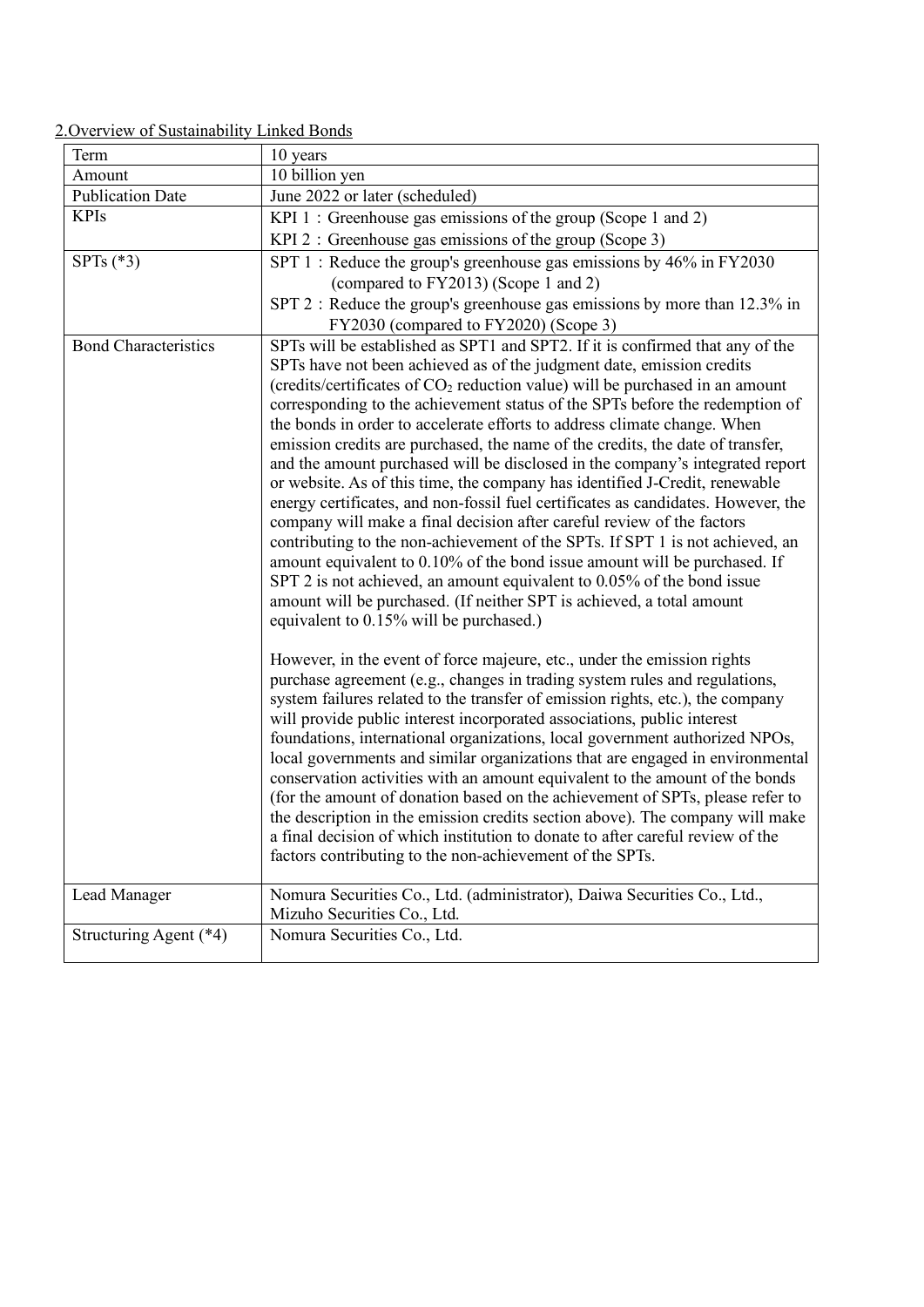# 2.Overview of Sustainability Linked Bonds

| Term                        | 10 years                                                                                                                                                                                                                                                                                                                                                                                                                                                                                                                                                                                                                                                                                                                                                                                                                                                                                                                                                                                                                                                                                                                                                                                                                                                               |  |  |
|-----------------------------|------------------------------------------------------------------------------------------------------------------------------------------------------------------------------------------------------------------------------------------------------------------------------------------------------------------------------------------------------------------------------------------------------------------------------------------------------------------------------------------------------------------------------------------------------------------------------------------------------------------------------------------------------------------------------------------------------------------------------------------------------------------------------------------------------------------------------------------------------------------------------------------------------------------------------------------------------------------------------------------------------------------------------------------------------------------------------------------------------------------------------------------------------------------------------------------------------------------------------------------------------------------------|--|--|
| Amount                      | 10 billion yen                                                                                                                                                                                                                                                                                                                                                                                                                                                                                                                                                                                                                                                                                                                                                                                                                                                                                                                                                                                                                                                                                                                                                                                                                                                         |  |  |
| <b>Publication Date</b>     | June 2022 or later (scheduled)                                                                                                                                                                                                                                                                                                                                                                                                                                                                                                                                                                                                                                                                                                                                                                                                                                                                                                                                                                                                                                                                                                                                                                                                                                         |  |  |
| <b>KPIs</b>                 | KPI 1: Greenhouse gas emissions of the group (Scope 1 and 2)                                                                                                                                                                                                                                                                                                                                                                                                                                                                                                                                                                                                                                                                                                                                                                                                                                                                                                                                                                                                                                                                                                                                                                                                           |  |  |
|                             | KPI 2 : Greenhouse gas emissions of the group (Scope 3)                                                                                                                                                                                                                                                                                                                                                                                                                                                                                                                                                                                                                                                                                                                                                                                                                                                                                                                                                                                                                                                                                                                                                                                                                |  |  |
| SPTs $(*3)$                 | SPT 1 : Reduce the group's greenhouse gas emissions by 46% in FY2030<br>(compared to FY2013) (Scope 1 and 2)<br>SPT 2 : Reduce the group's greenhouse gas emissions by more than 12.3% in<br>FY2030 (compared to FY2020) (Scope 3)                                                                                                                                                                                                                                                                                                                                                                                                                                                                                                                                                                                                                                                                                                                                                                                                                                                                                                                                                                                                                                     |  |  |
| <b>Bond Characteristics</b> | SPTs will be established as SPT1 and SPT2. If it is confirmed that any of the<br>SPTs have not been achieved as of the judgment date, emission credits<br>(credits/certificates of CO <sub>2</sub> reduction value) will be purchased in an amount<br>corresponding to the achievement status of the SPTs before the redemption of<br>the bonds in order to accelerate efforts to address climate change. When<br>emission credits are purchased, the name of the credits, the date of transfer,<br>and the amount purchased will be disclosed in the company's integrated report<br>or website. As of this time, the company has identified J-Credit, renewable<br>energy certificates, and non-fossil fuel certificates as candidates. However, the<br>company will make a final decision after careful review of the factors<br>contributing to the non-achievement of the SPTs. If SPT 1 is not achieved, an<br>amount equivalent to 0.10% of the bond issue amount will be purchased. If<br>SPT 2 is not achieved, an amount equivalent to 0.05% of the bond issue<br>amount will be purchased. (If neither SPT is achieved, a total amount<br>equivalent to 0.15% will be purchased.)<br>However, in the event of force majeure, etc., under the emission rights |  |  |
|                             | purchase agreement (e.g., changes in trading system rules and regulations,<br>system failures related to the transfer of emission rights, etc.), the company<br>will provide public interest incorporated associations, public interest<br>foundations, international organizations, local government authorized NPOs,<br>local governments and similar organizations that are engaged in environmental<br>conservation activities with an amount equivalent to the amount of the bonds<br>(for the amount of donation based on the achievement of SPTs, please refer to<br>the description in the emission credits section above). The company will make<br>a final decision of which institution to donate to after careful review of the<br>factors contributing to the non-achievement of the SPTs.                                                                                                                                                                                                                                                                                                                                                                                                                                                                |  |  |
| Lead Manager                | Nomura Securities Co., Ltd. (administrator), Daiwa Securities Co., Ltd.,<br>Mizuho Securities Co., Ltd.                                                                                                                                                                                                                                                                                                                                                                                                                                                                                                                                                                                                                                                                                                                                                                                                                                                                                                                                                                                                                                                                                                                                                                |  |  |
| Structuring Agent (*4)      | Nomura Securities Co., Ltd.                                                                                                                                                                                                                                                                                                                                                                                                                                                                                                                                                                                                                                                                                                                                                                                                                                                                                                                                                                                                                                                                                                                                                                                                                                            |  |  |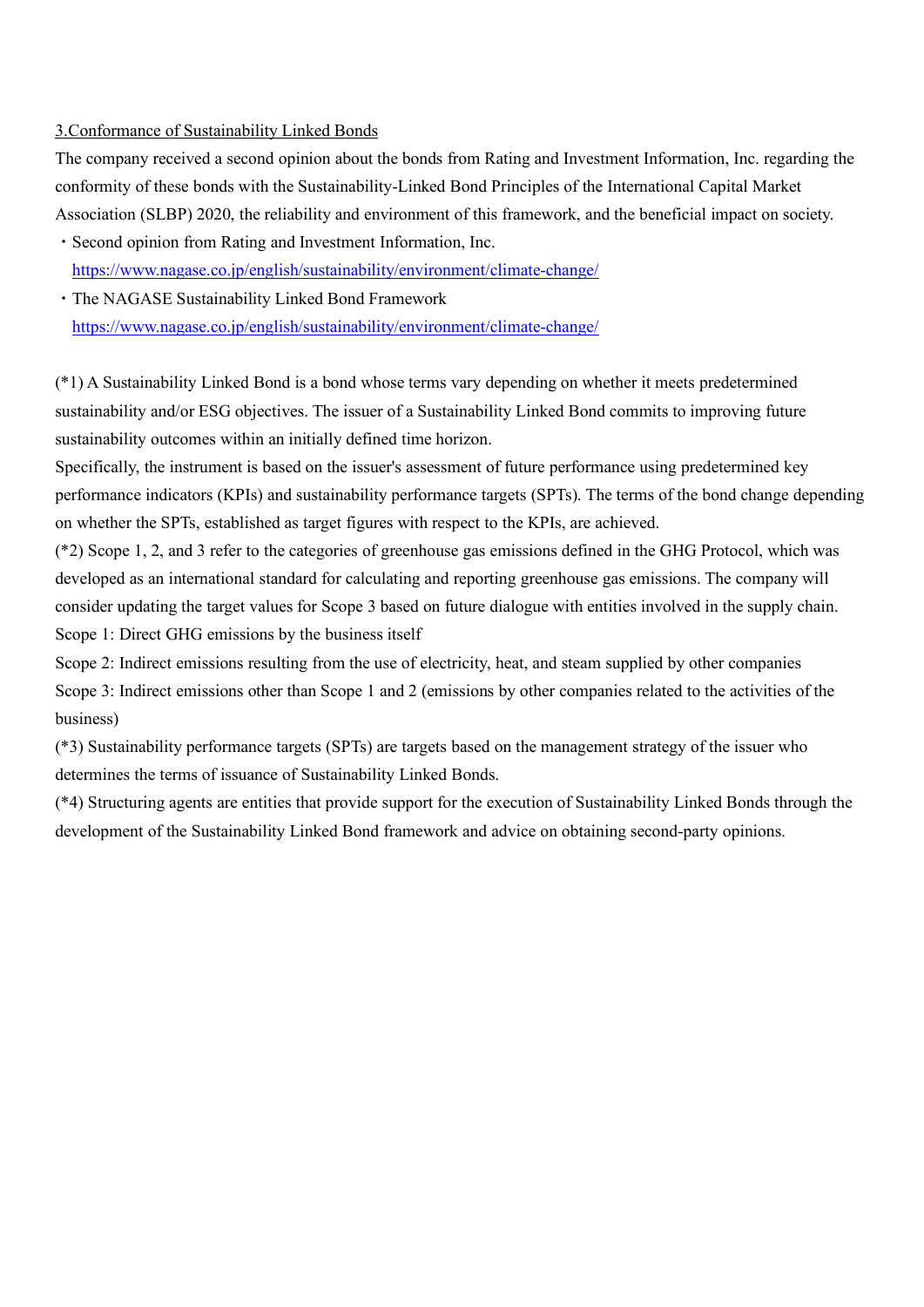#### 3.Conformance of Sustainability Linked Bonds

The company received a second opinion about the bonds from Rating and Investment Information, Inc. regarding the conformity of these bonds with the Sustainability-Linked Bond Principles of the International Capital Market Association (SLBP) 2020, the reliability and environment of this framework, and the beneficial impact on society.

- ・Second opinion from Rating and Investment Information, Inc. <https://www.nagase.co.jp/english/sustainability/environment/climate-change/>
- ・The NAGASE Sustainability Linked Bond Framework <https://www.nagase.co.jp/english/sustainability/environment/climate-change/>

(\*1) A Sustainability Linked Bond is a bond whose terms vary depending on whether it meets predetermined sustainability and/or ESG objectives. The issuer of a Sustainability Linked Bond commits to improving future sustainability outcomes within an initially defined time horizon.

Specifically, the instrument is based on the issuer's assessment of future performance using predetermined key performance indicators (KPIs) and sustainability performance targets (SPTs). The terms of the bond change depending on whether the SPTs, established as target figures with respect to the KPIs, are achieved.

(\*2) Scope 1, 2, and 3 refer to the categories of greenhouse gas emissions defined in the GHG Protocol, which was developed as an international standard for calculating and reporting greenhouse gas emissions. The company will consider updating the target values for Scope 3 based on future dialogue with entities involved in the supply chain. Scope 1: Direct GHG emissions by the business itself

Scope 2: Indirect emissions resulting from the use of electricity, heat, and steam supplied by other companies Scope 3: Indirect emissions other than Scope 1 and 2 (emissions by other companies related to the activities of the business)

(\*3) Sustainability performance targets (SPTs) are targets based on the management strategy of the issuer who determines the terms of issuance of Sustainability Linked Bonds.

(\*4) Structuring agents are entities that provide support for the execution of Sustainability Linked Bonds through the development of the Sustainability Linked Bond framework and advice on obtaining second-party opinions.